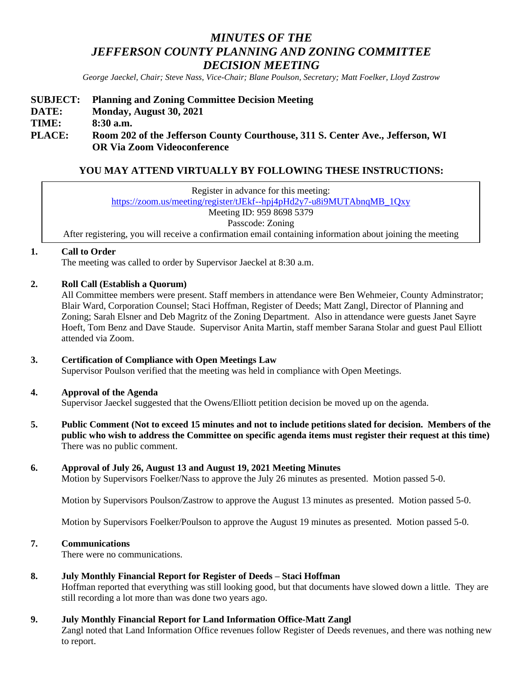# *MINUTES OF THE JEFFERSON COUNTY PLANNING AND ZONING COMMITTEE DECISION MEETING*

*George Jaeckel, Chair; Steve Nass, Vice-Chair; Blane Poulson, Secretary; Matt Foelker, Lloyd Zastrow*

## **SUBJECT: Planning and Zoning Committee Decision Meeting DATE: Monday, August 30, 2021 TIME: 8:30 a.m. PLACE: Room 202 of the Jefferson County Courthouse, 311 S. Center Ave., Jefferson, WI OR Via Zoom Videoconference**

# **YOU MAY ATTEND VIRTUALLY BY FOLLOWING THESE INSTRUCTIONS:**

Register in advance for this meeting: [https://zoom.us/meeting/register/tJEkf--hpj4pHd2y7-u8i9MUTAbnqMB\\_1Qxy](https://zoom.us/meeting/register/tJEkf--hpj4pHd2y7-u8i9MUTAbnqMB_1Qxy) Meeting ID: 959 8698 5379 Passcode: Zoning After registering, you will receive a confirmation email containing information about joining the meeting

## **1. Call to Order**

The meeting was called to order by Supervisor Jaeckel at 8:30 a.m.

## **2. Roll Call (Establish a Quorum)**

All Committee members were present. Staff members in attendance were Ben Wehmeier, County Adminstrator; Blair Ward, Corporation Counsel; Staci Hoffman, Register of Deeds; Matt Zangl, Director of Planning and Zoning; Sarah Elsner and Deb Magritz of the Zoning Department. Also in attendance were guests Janet Sayre Hoeft, Tom Benz and Dave Staude. Supervisor Anita Martin, staff member Sarana Stolar and guest Paul Elliott attended via Zoom.

## **3. Certification of Compliance with Open Meetings Law**

Supervisor Poulson verified that the meeting was held in compliance with Open Meetings.

## **4. Approval of the Agenda**

Supervisor Jaeckel suggested that the Owens/Elliott petition decision be moved up on the agenda.

**5. Public Comment (Not to exceed 15 minutes and not to include petitions slated for decision. Members of the public who wish to address the Committee on specific agenda items must register their request at this time)** There was no public comment.

## **6. Approval of July 26, August 13 and August 19, 2021 Meeting Minutes**

Motion by Supervisors Foelker/Nass to approve the July 26 minutes as presented. Motion passed 5-0.

Motion by Supervisors Poulson/Zastrow to approve the August 13 minutes as presented. Motion passed 5-0.

Motion by Supervisors Foelker/Poulson to approve the August 19 minutes as presented. Motion passed 5-0.

## **7. Communications**

There were no communications.

## **8. July Monthly Financial Report for Register of Deeds – Staci Hoffman**

Hoffman reported that everything was still looking good, but that documents have slowed down a little. They are still recording a lot more than was done two years ago.

## **9. July Monthly Financial Report for Land Information Office-Matt Zangl**

Zangl noted that Land Information Office revenues follow Register of Deeds revenues, and there was nothing new to report.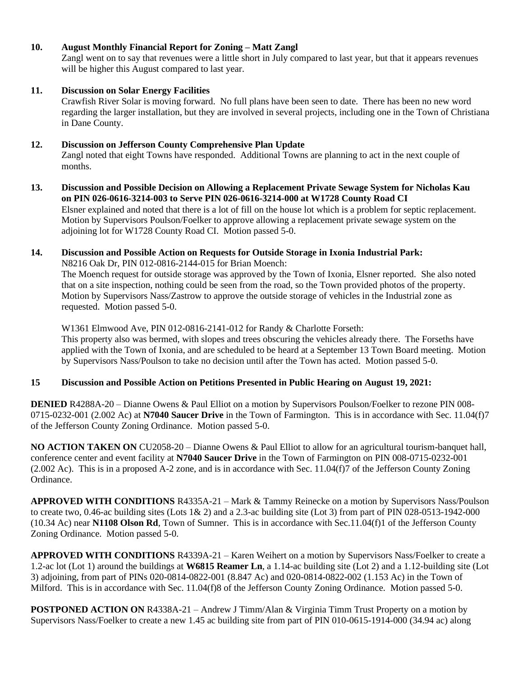## **10. August Monthly Financial Report for Zoning – Matt Zangl**

Zangl went on to say that revenues were a little short in July compared to last year, but that it appears revenues will be higher this August compared to last year.

## **11. Discussion on Solar Energy Facilities**

Crawfish River Solar is moving forward. No full plans have been seen to date. There has been no new word regarding the larger installation, but they are involved in several projects, including one in the Town of Christiana in Dane County.

## **12. Discussion on Jefferson County Comprehensive Plan Update**

Zangl noted that eight Towns have responded. Additional Towns are planning to act in the next couple of months.

#### **13. Discussion and Possible Decision on Allowing a Replacement Private Sewage System for Nicholas Kau on PIN 026-0616-3214-003 to Serve PIN 026-0616-3214-000 at W1728 County Road CI** Elsner explained and noted that there is a lot of fill on the house lot which is a problem for septic replacement.

Motion by Supervisors Poulson/Foelker to approve allowing a replacement private sewage system on the adjoining lot for W1728 County Road CI. Motion passed 5-0.

#### **14. Discussion and Possible Action on Requests for Outside Storage in Ixonia Industrial Park:** N8216 Oak Dr, PIN 012-0816-2144-015 for Brian Moench:

The Moench request for outside storage was approved by the Town of Ixonia, Elsner reported. She also noted

that on a site inspection, nothing could be seen from the road, so the Town provided photos of the property. Motion by Supervisors Nass/Zastrow to approve the outside storage of vehicles in the Industrial zone as requested. Motion passed 5-0.

W1361 Elmwood Ave, PIN 012-0816-2141-012 for Randy & Charlotte Forseth: This property also was bermed, with slopes and trees obscuring the vehicles already there. The Forseths have applied with the Town of Ixonia, and are scheduled to be heard at a September 13 Town Board meeting. Motion by Supervisors Nass/Poulson to take no decision until after the Town has acted. Motion passed 5-0.

## **15 Discussion and Possible Action on Petitions Presented in Public Hearing on August 19, 2021:**

**DENIED** R4288A-20 – Dianne Owens & Paul Elliot on a motion by Supervisors Poulson/Foelker to rezone PIN 008- 0715-0232-001 (2.002 Ac) at **N7040 Saucer Drive** in the Town of Farmington. This is in accordance with Sec. 11.04(f)7 of the Jefferson County Zoning Ordinance. Motion passed 5-0.

**NO ACTION TAKEN ON** CU2058-20 – Dianne Owens & Paul Elliot to allow for an agricultural tourism-banquet hall, conference center and event facility at **N7040 Saucer Drive** in the Town of Farmington on PIN 008-0715-0232-001 (2.002 Ac). This is in a proposed A-2 zone, and is in accordance with Sec. 11.04(f)7 of the Jefferson County Zoning Ordinance.

**APPROVED WITH CONDITIONS** R4335A-21 – Mark & Tammy Reinecke on a motion by Supervisors Nass/Poulson to create two, 0.46-ac building sites (Lots  $1& 2$ ) and a 2.3-ac building site (Lot 3) from part of PIN 028-0513-1942-000 (10.34 Ac) near **N1108 Olson Rd**, Town of Sumner. This is in accordance with Sec.11.04(f)1 of the Jefferson County Zoning Ordinance. Motion passed 5-0.

**APPROVED WITH CONDITIONS** R4339A-21 – Karen Weihert on a motion by Supervisors Nass/Foelker to create a 1.2-ac lot (Lot 1) around the buildings at **W6815 Reamer Ln**, a 1.14-ac building site (Lot 2) and a 1.12-building site (Lot 3) adjoining, from part of PINs 020-0814-0822-001 (8.847 Ac) and 020-0814-0822-002 (1.153 Ac) in the Town of Milford. This is in accordance with Sec. 11.04(f)8 of the Jefferson County Zoning Ordinance. Motion passed 5-0.

**POSTPONED ACTION ON** R4338A-21 – Andrew J Timm/Alan & Virginia Timm Trust Property on a motion by Supervisors Nass/Foelker to create a new 1.45 ac building site from part of PIN 010-0615-1914-000 (34.94 ac) along